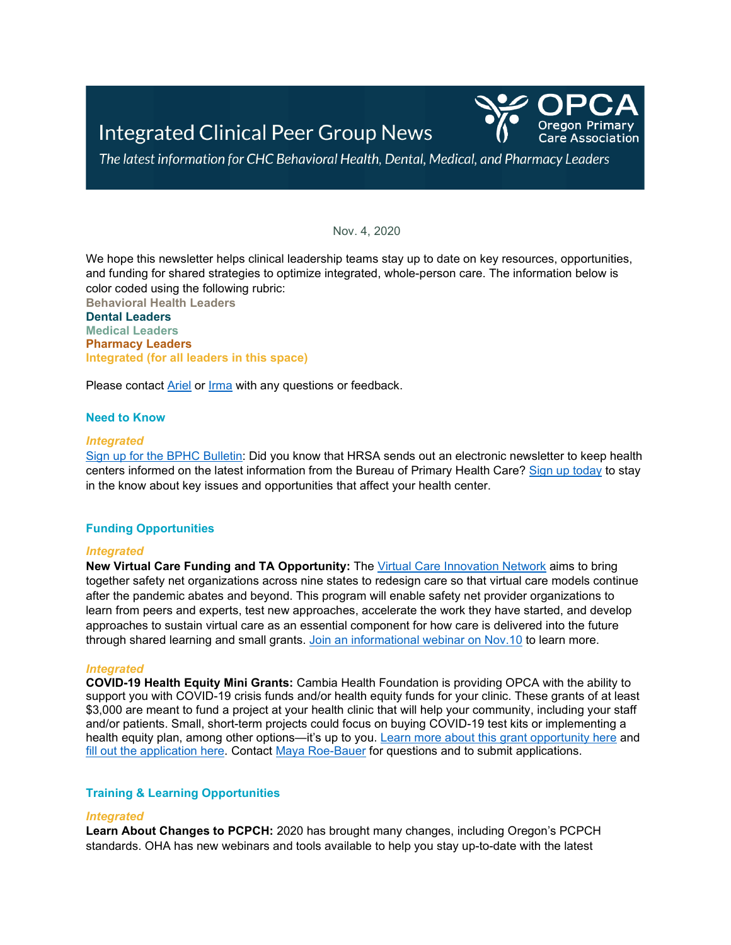

The latest information for CHC Behavioral Health, Dental, Medical, and Pharmacy Leaders

Nov. 4, 2020

We hope this newsletter helps clinical leadership teams stay up to date on key resources, opportunities, and funding for shared strategies to optimize integrated, whole-person care. The information below is color coded using the following rubric:

**Behavioral Health Leaders Dental Leaders Medical Leaders Pharmacy Leaders Integrated (for all leaders in this space)**

Please contact [Ariel](mailto:asinger@orpca.org) or [Irma](mailto:imurauskas@orpca.org) with any questions or feedback.

## **Need to Know**

#### *Integrated*

[Sign up for the BPHC Bulletin:](https://public.govdelivery.com/accounts/USHHSHRSA/subscriber/new?topic_id=ENEWS) Did you know that HRSA sends out an electronic newsletter to keep health centers informed on the latest information from the Bureau of Primary Health Care? [Sign up today](https://public.govdelivery.com/accounts/USHHSHRSA/subscriber/new?topic_id=ENEWS) to stay in the know about key issues and opportunities that affect your health center.

## **Funding Opportunities**

## *Integrated*

**New Virtual Care Funding and TA Opportunity:** The [Virtual Care Innovation Network](https://www.careinnovations.org/virtual-care-2020/) aims to bring together safety net organizations across nine states to redesign care so that virtual care models continue after the pandemic abates and beyond. This program will enable safety net provider organizations to learn from peers and experts, test new approaches, accelerate the work they have started, and develop approaches to sustain virtual care as an essential component for how care is delivered into the future through shared learning and small grants. [Join an informational webinar on Nov.10](https://us02web.zoom.us/meeting/register/tZArcOippzouHtH8CwZMeqqoH4ORU_cKEVIx) to learn more.

## *Integrated*

**COVID-19 Health Equity Mini Grants:** Cambia Health Foundation is providing OPCA with the ability to support you with COVID-19 crisis funds and/or health equity funds for your clinic. These grants of at least \$3,000 are meant to fund a project at your health clinic that will help your community, including your staff and/or patients. Small, short-term projects could focus on buying COVID-19 test kits or implementing a health equity plan, among other options—it's up to you. [Learn more about this grant opportunity here](https://www.orpca.org/files/Cambia_Mini_Grant_One-Pager.pdf) and [fill out the application here.](https://www.orpca.org/files/OPCA_Mini_Grant_Application_FINAL.pdf) Contact [Maya Roe-Bauer](mailto:mroe-bauer@orpca.org?subject=OPCA%20Mini%20Grant) for questions and to submit applications.

## **Training & Learning Opportunities**

## *Integrated*

**Learn About Changes to PCPCH:** 2020 has brought many changes, including Oregon's PCPCH standards. OHA has new webinars and tools available to help you stay up-to-date with the latest